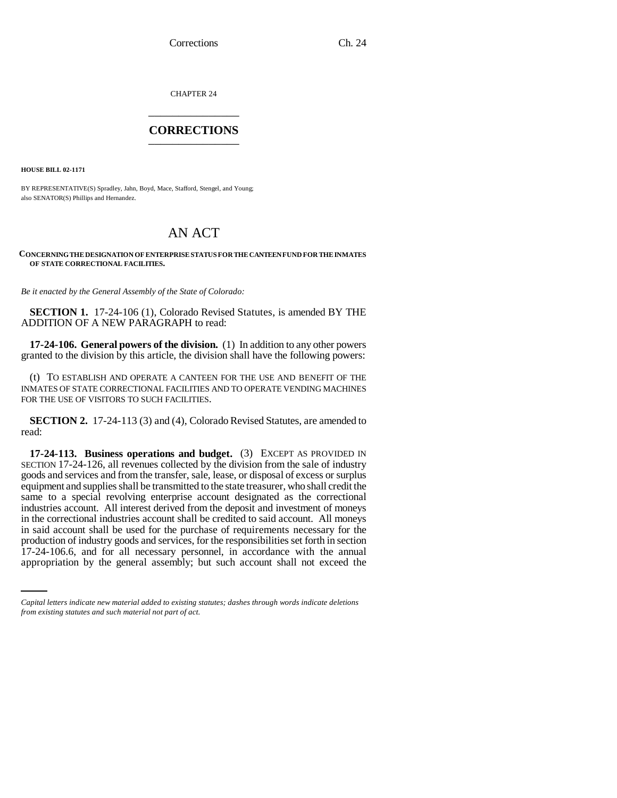CHAPTER 24 \_\_\_\_\_\_\_\_\_\_\_\_\_\_\_

## **CORRECTIONS** \_\_\_\_\_\_\_\_\_\_\_\_\_\_\_

**HOUSE BILL 02-1171**

BY REPRESENTATIVE(S) Spradley, Jahn, Boyd, Mace, Stafford, Stengel, and Young; also SENATOR(S) Phillips and Hernandez.

## AN ACT

## **CONCERNING THE DESIGNATION OF ENTERPRISE STATUS FOR THE CANTEEN FUND FOR THE INMATES OF STATE CORRECTIONAL FACILITIES.**

*Be it enacted by the General Assembly of the State of Colorado:*

**SECTION 1.** 17-24-106 (1), Colorado Revised Statutes, is amended BY THE ADDITION OF A NEW PARAGRAPH to read:

**17-24-106. General powers of the division.** (1) In addition to any other powers granted to the division by this article, the division shall have the following powers:

(t) TO ESTABLISH AND OPERATE A CANTEEN FOR THE USE AND BENEFIT OF THE INMATES OF STATE CORRECTIONAL FACILITIES AND TO OPERATE VENDING MACHINES FOR THE USE OF VISITORS TO SUCH FACILITIES.

**SECTION 2.** 17-24-113 (3) and (4), Colorado Revised Statutes, are amended to read:

production of industry goods and services, for the responsibilities set forth in section **17-24-113. Business operations and budget.** (3) EXCEPT AS PROVIDED IN SECTION 17-24-126, all revenues collected by the division from the sale of industry goods and services and from the transfer, sale, lease, or disposal of excess or surplus equipment and supplies shall be transmitted to the state treasurer, who shall credit the same to a special revolving enterprise account designated as the correctional industries account. All interest derived from the deposit and investment of moneys in the correctional industries account shall be credited to said account. All moneys in said account shall be used for the purchase of requirements necessary for the 17-24-106.6, and for all necessary personnel, in accordance with the annual appropriation by the general assembly; but such account shall not exceed the

*Capital letters indicate new material added to existing statutes; dashes through words indicate deletions from existing statutes and such material not part of act.*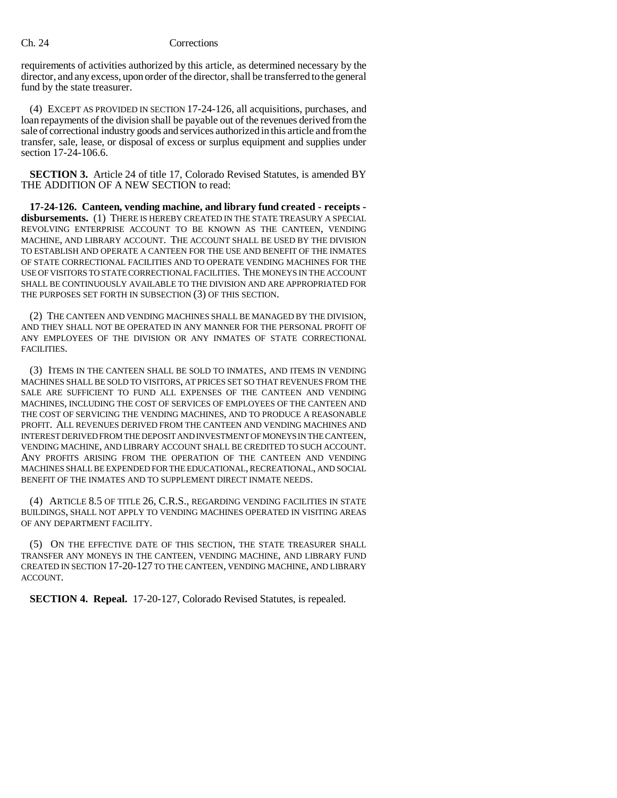## Ch. 24 Corrections

requirements of activities authorized by this article, as determined necessary by the director, and any excess, upon order of the director, shall be transferred to the general fund by the state treasurer.

(4) EXCEPT AS PROVIDED IN SECTION 17-24-126, all acquisitions, purchases, and loan repayments of the division shall be payable out of the revenues derived from the sale of correctional industry goods and services authorized in this article and from the transfer, sale, lease, or disposal of excess or surplus equipment and supplies under section 17-24-106.6.

**SECTION 3.** Article 24 of title 17, Colorado Revised Statutes, is amended BY THE ADDITION OF A NEW SECTION to read:

**17-24-126. Canteen, vending machine, and library fund created - receipts disbursements.** (1) THERE IS HEREBY CREATED IN THE STATE TREASURY A SPECIAL REVOLVING ENTERPRISE ACCOUNT TO BE KNOWN AS THE CANTEEN, VENDING MACHINE, AND LIBRARY ACCOUNT. THE ACCOUNT SHALL BE USED BY THE DIVISION TO ESTABLISH AND OPERATE A CANTEEN FOR THE USE AND BENEFIT OF THE INMATES OF STATE CORRECTIONAL FACILITIES AND TO OPERATE VENDING MACHINES FOR THE USE OF VISITORS TO STATE CORRECTIONAL FACILITIES. THE MONEYS IN THE ACCOUNT SHALL BE CONTINUOUSLY AVAILABLE TO THE DIVISION AND ARE APPROPRIATED FOR THE PURPOSES SET FORTH IN SUBSECTION (3) OF THIS SECTION.

(2) THE CANTEEN AND VENDING MACHINES SHALL BE MANAGED BY THE DIVISION, AND THEY SHALL NOT BE OPERATED IN ANY MANNER FOR THE PERSONAL PROFIT OF ANY EMPLOYEES OF THE DIVISION OR ANY INMATES OF STATE CORRECTIONAL FACILITIES.

(3) ITEMS IN THE CANTEEN SHALL BE SOLD TO INMATES, AND ITEMS IN VENDING MACHINES SHALL BE SOLD TO VISITORS, AT PRICES SET SO THAT REVENUES FROM THE SALE ARE SUFFICIENT TO FUND ALL EXPENSES OF THE CANTEEN AND VENDING MACHINES, INCLUDING THE COST OF SERVICES OF EMPLOYEES OF THE CANTEEN AND THE COST OF SERVICING THE VENDING MACHINES, AND TO PRODUCE A REASONABLE PROFIT. ALL REVENUES DERIVED FROM THE CANTEEN AND VENDING MACHINES AND INTEREST DERIVED FROM THE DEPOSIT AND INVESTMENT OF MONEYS IN THE CANTEEN, VENDING MACHINE, AND LIBRARY ACCOUNT SHALL BE CREDITED TO SUCH ACCOUNT. ANY PROFITS ARISING FROM THE OPERATION OF THE CANTEEN AND VENDING MACHINES SHALL BE EXPENDED FOR THE EDUCATIONAL, RECREATIONAL, AND SOCIAL BENEFIT OF THE INMATES AND TO SUPPLEMENT DIRECT INMATE NEEDS.

(4) ARTICLE 8.5 OF TITLE 26, C.R.S., REGARDING VENDING FACILITIES IN STATE BUILDINGS, SHALL NOT APPLY TO VENDING MACHINES OPERATED IN VISITING AREAS OF ANY DEPARTMENT FACILITY.

(5) ON THE EFFECTIVE DATE OF THIS SECTION, THE STATE TREASURER SHALL TRANSFER ANY MONEYS IN THE CANTEEN, VENDING MACHINE, AND LIBRARY FUND CREATED IN SECTION 17-20-127 TO THE CANTEEN, VENDING MACHINE, AND LIBRARY ACCOUNT.

**SECTION 4. Repeal.** 17-20-127, Colorado Revised Statutes, is repealed.